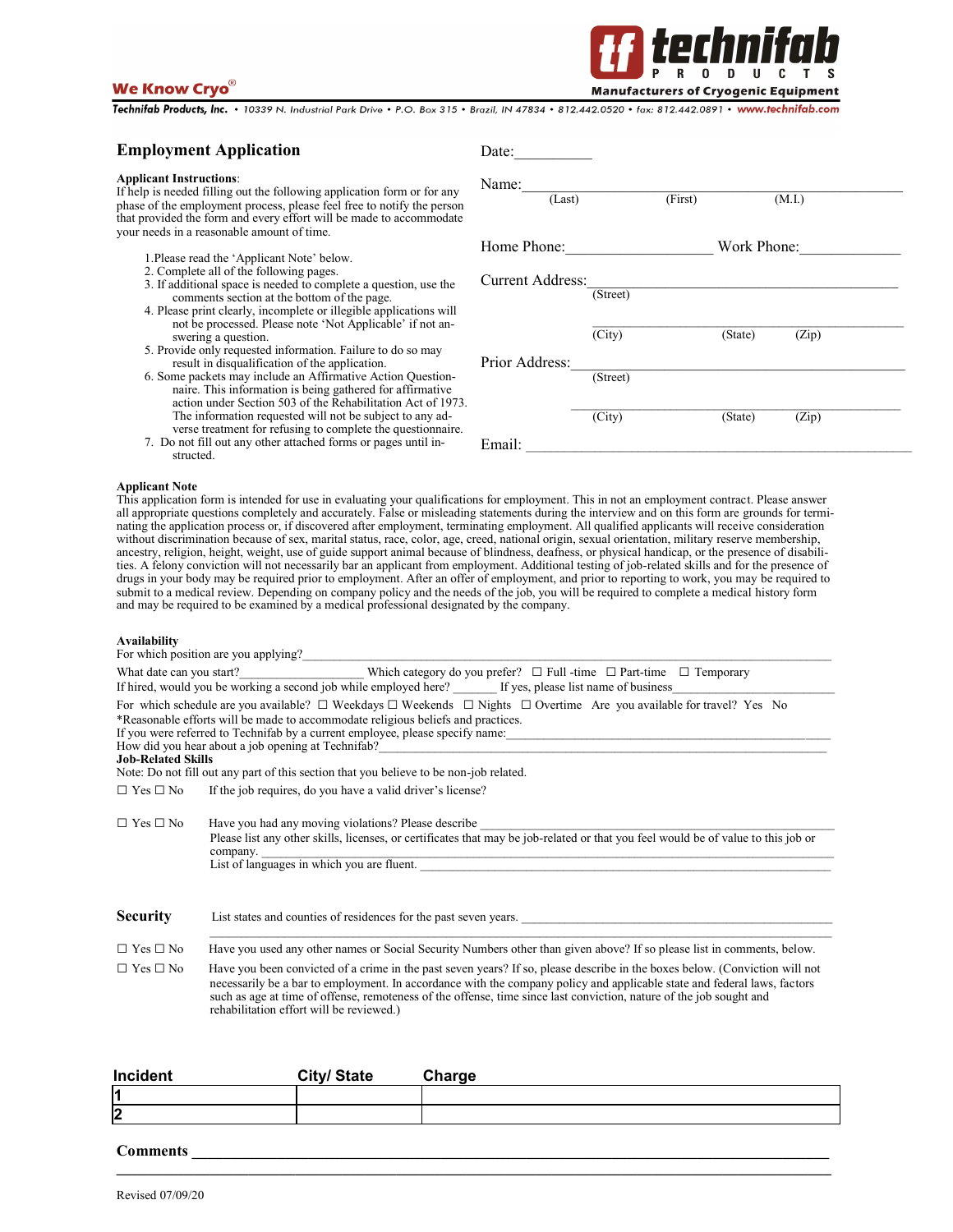# **We Know Cryo**



Technifab Products, Inc. · 10339 N. Industrial Park Drive · P.O. Box 315 · Brazil, IN 47834 · 812.442.0520 · fax: 812.442.0891 · www.technifab.com

### **Employment Application**

#### **Applicant Instructions**:

If help is needed filling out the following application form or for any phase of the employment process, please feel free to notify the person that provided the form and every effort will be made to accommodate your needs in a reasonable amount of time.

- 1.Please read the 'Applicant Note' below.
- 2. Complete all of the following pages.
- 3. If additional space is needed to complete a question, use the comments section at the bottom of the page.
- 4. Please print clearly, incomplete or illegible applications will not be processed. Please note 'Not Applicable' if not answering a question.
- 5. Provide only requested information. Failure to do so may result in disqualification of the application.
- 6. Some packets may include an Affirmative Action Questionnaire. This information is being gathered for affirmative action under Section 503 of the Rehabilitation Act of 1973. The information requested will not be subject to any adverse treatment for refusing to complete the questionnaire.
- 7. Do not fill out any other attached forms or pages until instructed.

| Date:                   |                     |         |             |        |  |
|-------------------------|---------------------|---------|-------------|--------|--|
| Name:<br>(Last)         |                     | (First) |             | (M.I.) |  |
| Home Phone:             |                     |         | Work Phone: |        |  |
| <b>Current Address:</b> | (Street)            |         |             |        |  |
|                         | $\overline{(City)}$ |         | (State)     | (Zip)  |  |
| Prior Address:          | (Street)            |         |             |        |  |
| Email:                  | $\overline{(City)}$ |         | (State)     | (Zip)  |  |

#### **Applicant Note**

This application form is intended for use in evaluating your qualifications for employment. This in not an employment contract. Please answer all appropriate questions completely and accurately. False or misleading statements during the interview and on this form are grounds for terminating the application process or, if discovered after employment, terminating employment. All qualified applicants will receive consideration without discrimination because of sex, marital status, race, color, age, creed, national origin, sexual orientation, military reserve membership, ancestry, religion, height, weight, use of guide support animal because of blindness, deafness, or physical handicap, or the presence of disabilities. A felony conviction will not necessarily bar an applicant from employment. Additional testing of job-related skills and for the presence of drugs in your body may be required prior to employment. After an offer of employment, and prior to reporting to work, you may be required to submit to a medical review. Depending on company policy and the needs of the job, you will be required to complete a medical history form and may be required to be examined by a medical professional designated by the company.

#### **Availability**

|                           | For which position are you applying?                                                                                                                                                                                                                                                                                                                                                                                                                                                                                                                                                                                                      |
|---------------------------|-------------------------------------------------------------------------------------------------------------------------------------------------------------------------------------------------------------------------------------------------------------------------------------------------------------------------------------------------------------------------------------------------------------------------------------------------------------------------------------------------------------------------------------------------------------------------------------------------------------------------------------------|
|                           | What date can you start? Which category do you prefer? $\Box$ Full -time $\Box$ Part-time $\Box$ Temporary<br>If hired, would you be working a second job while employed here? If yes, please list name of business                                                                                                                                                                                                                                                                                                                                                                                                                       |
| <b>Job-Related Skills</b> | For which schedule are you available? $\Box$ Weekdays $\Box$ Weekends $\Box$ Nights $\Box$ Overtime Are you available for travel? Yes No<br>*Reasonable efforts will be made to accommodate religious beliefs and practices.<br>If you were referred to Technifab by a current employee, please specify name:<br>How did you hear about a job opening at Technifab? Now the contract of the contract of the contract of the contract of the contract of the contract of the contract of the contract of the contract of the contract of the con<br>Note: Do not fill out any part of this section that you believe to be non-job related. |
| $\Box$ Yes $\Box$ No      | If the job requires, do you have a valid driver's license?                                                                                                                                                                                                                                                                                                                                                                                                                                                                                                                                                                                |
| $\Box$ Yes $\Box$ No      | Have you had any moving violations? Please describe<br>Please list any other skills, licenses, or certificates that may be job-related or that you feel would be of value to this job or<br>company.<br>List of languages in which you are fluent.                                                                                                                                                                                                                                                                                                                                                                                        |
| <b>Security</b>           | List states and counties of residences for the past seven years.                                                                                                                                                                                                                                                                                                                                                                                                                                                                                                                                                                          |
| $\Box$ Yes $\Box$ No      | Have you used any other names or Social Security Numbers other than given above? If so please list in comments, below.                                                                                                                                                                                                                                                                                                                                                                                                                                                                                                                    |
| $\Box$ Yes $\Box$ No      | Have you been convicted of a crime in the past seven years? If so, please describe in the boxes below. (Conviction will not<br>necessarily be a bar to employment. In accordance with the company policy and applicable state and federal laws, factors<br>such as age at time of offense, remoteness of the offense, time since last conviction, nature of the job sought and<br>rehabilitation effort will be reviewed.)                                                                                                                                                                                                                |

| Incident | City/ State | Charge |
|----------|-------------|--------|
|          |             |        |
| n<br>∠   |             |        |

**\_\_\_\_\_\_\_\_\_\_\_\_\_\_\_\_\_\_\_\_\_\_\_\_\_\_\_\_\_\_\_\_\_\_\_\_\_\_\_\_\_\_\_\_\_\_\_\_\_\_\_\_\_\_\_\_\_\_\_\_\_\_\_\_\_\_\_\_\_\_\_\_\_\_\_\_\_\_\_\_\_\_\_\_\_\_\_\_\_\_\_\_** 

### **Comments \_\_\_\_\_\_\_\_\_\_\_\_\_\_\_\_\_\_\_\_\_\_\_\_\_\_\_\_\_\_\_\_\_\_\_\_\_\_\_\_\_\_\_\_\_\_\_\_\_\_\_\_\_\_\_\_\_\_\_\_\_\_\_\_\_\_\_\_\_\_\_\_\_\_\_\_\_\_\_\_\_\_**